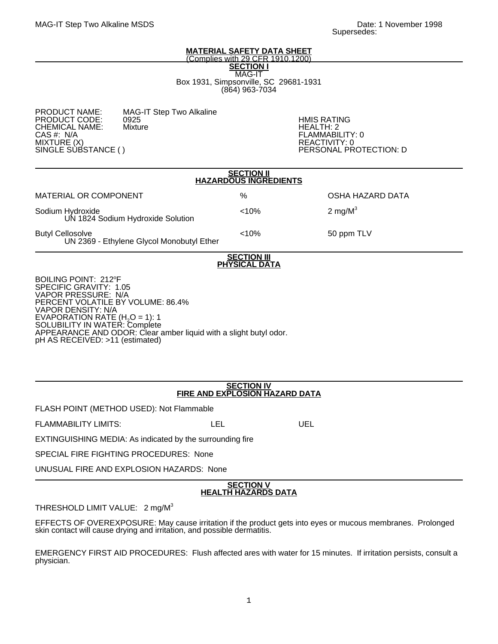#### **MATERIAL SAFETY DATA SHEET** (Complies with 29 CFR 1910.1200)

**SECTION I** MAG-IT Box 1931, Simpsonville, SC 29681-1931 (864) 963-7034

MAG-IT Step Two Alkaline<br>0925 PRODUCT CODE: 0925 HMIS RATING CHEMICAL NAME: Mixture Name Health: 2 CAS #: N/A FLAMMABILITY: 0 MIXTURE (X)<br>SINGLE SUBSTANCE ( ) REACTIVITY: 0

PERSONAL PROTECTION: D

| <b>SECTION II</b><br><b>HAZARDOUS INGREDIENTS</b>                                                                                                                                                                             |       |                  |
|-------------------------------------------------------------------------------------------------------------------------------------------------------------------------------------------------------------------------------|-------|------------------|
| MATERIAL OR COMPONENT                                                                                                                                                                                                         | %     | OSHA HAZARD DATA |
| Sodium Hydroxide<br>UN 1824 Sodium Hydroxide Solution                                                                                                                                                                         | < 10% | 2 mg/ $M^3$      |
| <b>Butyl Cellosolve</b><br>UN 2369 - Ethylene Glycol Monobutyl Ether                                                                                                                                                          | < 10% | 50 ppm TLV       |
| <b>SECTION III</b><br><b>PHYSICAL DATA</b>                                                                                                                                                                                    |       |                  |
| BOILING POINT: 212°F<br>SPECIFIC GRAVITY: 1.05<br><b>VAPOR PRESSURE: N/A</b><br>PERCENT VOLATILE BY VOLUME: 86.4%<br><b>VAPOR DENSITY: N/A</b><br>EVAPORATION RATE (H <sub>2</sub> O = 1): 1<br>SOLUBILITY IN WATER: Complete |       |                  |

APPEARANCE AND ODOR: Clear amber liquid with a slight butyl odor.

pH AS RECEIVED: >11 (estimated)

# **SECTION IV FIRE AND EXPLOSION HAZARD DATA**

FLASH POINT (METHOD USED): Not Flammable

FLAMMABILITY LIMITS: LEL LEL UEL

EXTINGUISHING MEDIA: As indicated by the surrounding fire

SPECIAL FIRE FIGHTING PROCEDURES: None

UNUSUAL FIRE AND EXPLOSION HAZARDS: None

# **SECTION V HEALTH HAZARDS DATA**

# THRESHOLD LIMIT VALUE: 2 mg/M<sup>3</sup>

EFFECTS OF OVEREXPOSURE: May cause irritation if the product gets into eyes or mucous membranes. Prolonged skin contact will cause drying and irritation, and possible dermatitis.

EMERGENCY FIRST AID PROCEDURES: Flush affected ares with water for 15 minutes. If irritation persists, consult a physician.